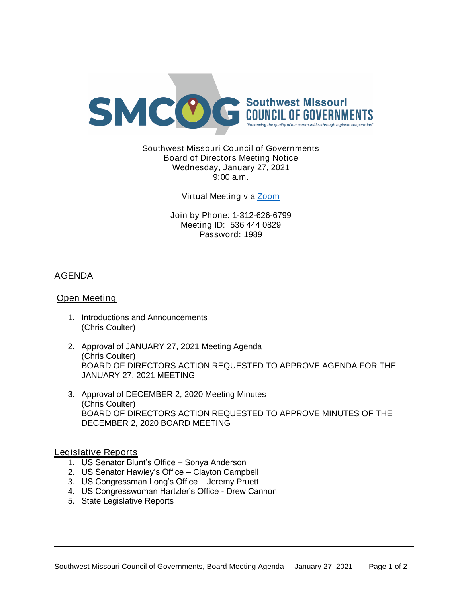

Southwest Missouri Council of Governments Board of Directors Meeting Notice Wednesday, January 27, 2021 9:00 a.m.

Virtual Meeting via [Zoom](https://missouristate.zoom.us/j/5364440829?pwd=MlUzbmJKSXllVENpRndadjlEMThmZz09)

Join by Phone: 1-312-626-6799 Meeting ID: 536 444 0829 Password: 1989

# AGENDA

## Open Meeting

- 1. Introductions and Announcements (Chris Coulter)
- 2. Approval of JANUARY 27, 2021 Meeting Agenda (Chris Coulter) BOARD OF DIRECTORS ACTION REQUESTED TO APPROVE AGENDA FOR THE JANUARY 27, 2021 MEETING
- 3. Approval of DECEMBER 2, 2020 Meeting Minutes (Chris Coulter) BOARD OF DIRECTORS ACTION REQUESTED TO APPROVE MINUTES OF THE DECEMBER 2, 2020 BOARD MEETING

Legislative Reports

- 1. US Senator Blunt's Office Sonya Anderson
- 2. US Senator Hawley's Office Clayton Campbell
- 3. US Congressman Long's Office Jeremy Pruett
- 4. US Congresswoman Hartzler's Office Drew Cannon
- 5. State Legislative Reports